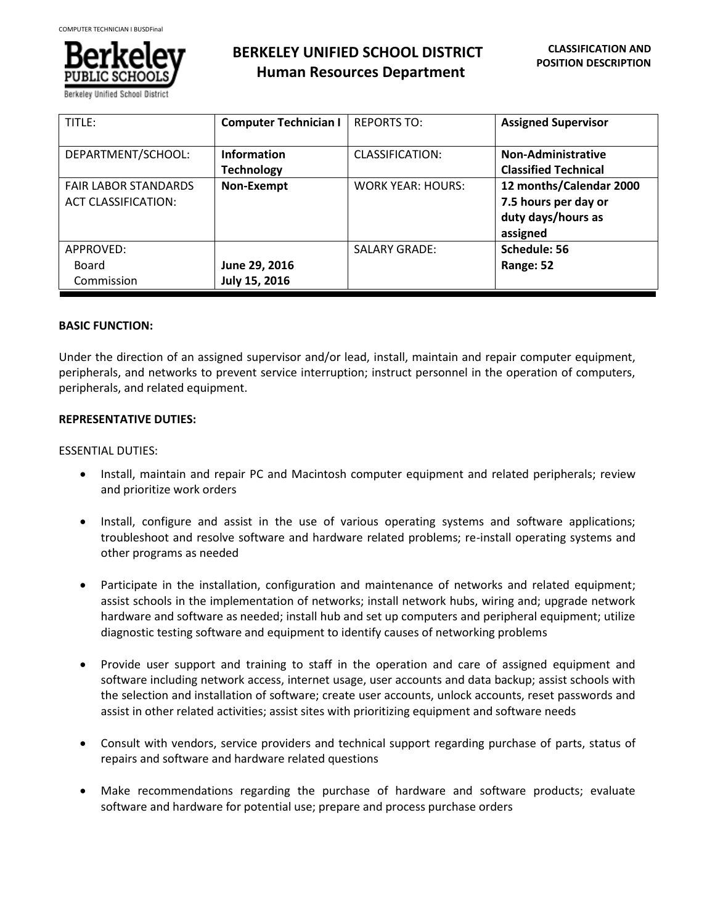

| TITLE:                      | <b>Computer Technician I</b> | <b>REPORTS TO:</b>       | <b>Assigned Supervisor</b>  |
|-----------------------------|------------------------------|--------------------------|-----------------------------|
| DEPARTMENT/SCHOOL:          | <b>Information</b>           | <b>CLASSIFICATION:</b>   | <b>Non-Administrative</b>   |
|                             | <b>Technology</b>            |                          | <b>Classified Technical</b> |
| <b>FAIR LABOR STANDARDS</b> | Non-Exempt                   | <b>WORK YEAR: HOURS:</b> | 12 months/Calendar 2000     |
| <b>ACT CLASSIFICATION:</b>  |                              |                          | 7.5 hours per day or        |
|                             |                              |                          | duty days/hours as          |
|                             |                              |                          | assigned                    |
| APPROVED:                   |                              | <b>SALARY GRADE:</b>     | Schedule: 56                |
| Board                       | June 29, 2016                |                          | Range: 52                   |
| Commission                  | July 15, 2016                |                          |                             |

# **BASIC FUNCTION:**

Under the direction of an assigned supervisor and/or lead, install, maintain and repair computer equipment, peripherals, and networks to prevent service interruption; instruct personnel in the operation of computers, peripherals, and related equipment.

# **REPRESENTATIVE DUTIES:**

## ESSENTIAL DUTIES:

- Install, maintain and repair PC and Macintosh computer equipment and related peripherals; review and prioritize work orders
- Install, configure and assist in the use of various operating systems and software applications; troubleshoot and resolve software and hardware related problems; re-install operating systems and other programs as needed
- Participate in the installation, configuration and maintenance of networks and related equipment; assist schools in the implementation of networks; install network hubs, wiring and; upgrade network hardware and software as needed; install hub and set up computers and peripheral equipment; utilize diagnostic testing software and equipment to identify causes of networking problems
- Provide user support and training to staff in the operation and care of assigned equipment and software including network access, internet usage, user accounts and data backup; assist schools with the selection and installation of software; create user accounts, unlock accounts, reset passwords and assist in other related activities; assist sites with prioritizing equipment and software needs
- Consult with vendors, service providers and technical support regarding purchase of parts, status of repairs and software and hardware related questions
- Make recommendations regarding the purchase of hardware and software products; evaluate software and hardware for potential use; prepare and process purchase orders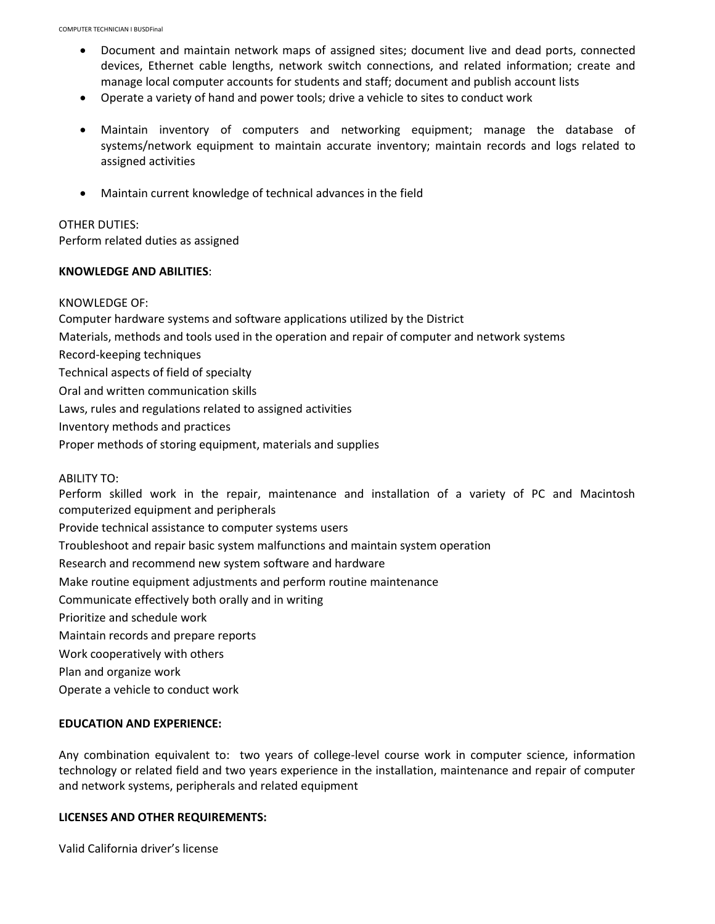- Document and maintain network maps of assigned sites; document live and dead ports, connected devices, Ethernet cable lengths, network switch connections, and related information; create and manage local computer accounts for students and staff; document and publish account lists
- Operate a variety of hand and power tools; drive a vehicle to sites to conduct work
- Maintain inventory of computers and networking equipment; manage the database of systems/network equipment to maintain accurate inventory; maintain records and logs related to assigned activities
- Maintain current knowledge of technical advances in the field

## OTHER DUTIES:

Perform related duties as assigned

#### **KNOWLEDGE AND ABILITIES**:

#### KNOWLEDGE OF:

Computer hardware systems and software applications utilized by the District Materials, methods and tools used in the operation and repair of computer and network systems Record-keeping techniques Technical aspects of field of specialty Oral and written communication skills Laws, rules and regulations related to assigned activities Inventory methods and practices Proper methods of storing equipment, materials and supplies ABILITY TO:

Perform skilled work in the repair, maintenance and installation of a variety of PC and Macintosh computerized equipment and peripherals

Provide technical assistance to computer systems users

Troubleshoot and repair basic system malfunctions and maintain system operation

Research and recommend new system software and hardware

Make routine equipment adjustments and perform routine maintenance

Communicate effectively both orally and in writing

Prioritize and schedule work

Maintain records and prepare reports

Work cooperatively with others

Plan and organize work

Operate a vehicle to conduct work

## **EDUCATION AND EXPERIENCE:**

Any combination equivalent to: two years of college-level course work in computer science, information technology or related field and two years experience in the installation, maintenance and repair of computer and network systems, peripherals and related equipment

## **LICENSES AND OTHER REQUIREMENTS:**

Valid California driver's license